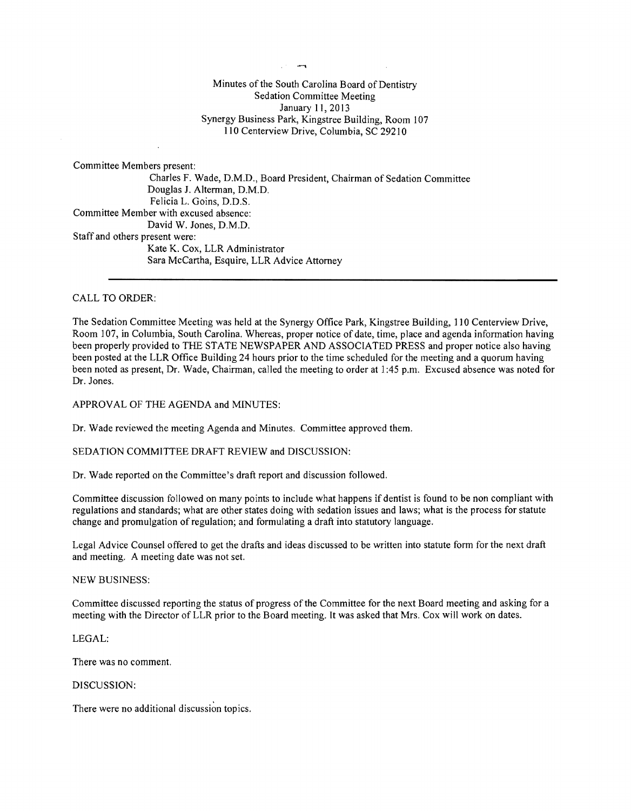$\overline{\phantom{a}}$ 

## Minutes of the South Carolina Board of Dentistry Sedation Committee Meeting January 11,2013 Synergy Business Park, Kingstree Building, Room 107 **110** Centerview Drive, Columbia, SC 29210

Committee Members present: Charles F. Wade, D.M.D., Board President, Chairman of Sedation Committee Douglas J. Alterman, D.M.D. Felicia L. Goins, D.D.S. Committee Member with excused absence: David W. Jones, D.M.D. Staff and others present were: Kate K. Cox, LLR Administrator Sara McCartha, Esquire, LLR Advice Attorney

#### CALL TO ORDER:

The Sedation Committee Meeting was held at the Synergy Office Park, Kingstree Building, **110** Centerview Drive, Room 107, in Columbia, South Carolina. Whereas, proper notice of date, time, place and agenda information having been properly provided to THE STATE NEWSPAPER AND ASSOCIATED PRESS and proper notice also having been posted at the LLR Office Building 24 hours prior to the time scheduled for the meeting and a quorum having been noted as present, Dr. Wade, Chairman, called the meeting to order at 1 :45 p.m. Excused absence was noted for Dr. Jones.

APPROVAL OF THE AGENDA and MINUTES:

Dr. Wade reviewed the meeting Agenda and Minutes. Committee approved them.

SEDATION COMMITTEE DRAFT REVIEW and DISCUSSION:

Dr. Wade reported on the Committee's draft report and discussion followed.

Committee discussion followed on many points to include what happens if dentist is found to be non compliant with regulations and standards; what are other states doing with sedation issues and laws; what is the process for statute change and promulgation of regulation; and formulating a draft into statutory language.

Legal Advice Counsel offered to get the drafts and ideas discussed to be written into statute form for the next draft and meeting. A meeting date was not set.

#### NEW BUSINESS:

Committee discussed reporting the status of progress ofthe Committee for the next Board meeting and asking for a meeting with the Director of LLR prior to the Board meeting. It was asked that Mrs. Cox will work on dates.

#### LEGAL:

There was no comment.

# DISCUSSION:

There were no additional discussion topics.